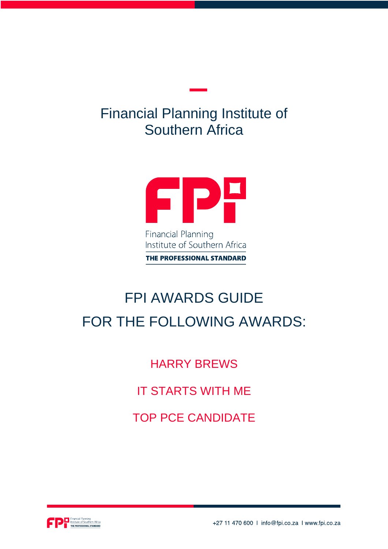## Financial Planning Institute of Southern Africa



# FPI AWARDS GUIDE FOR THE FOLLOWING AWARDS:

HARRY BREWS

IT STARTS WITH ME

TOP PCE CANDIDATE



+27 11 470 600 | info@fpi.co.za | www.fpi.co.za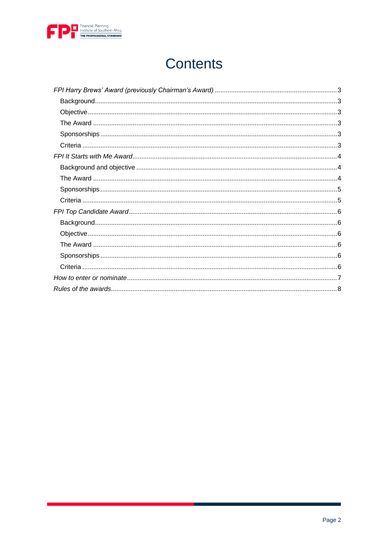

## **Contents**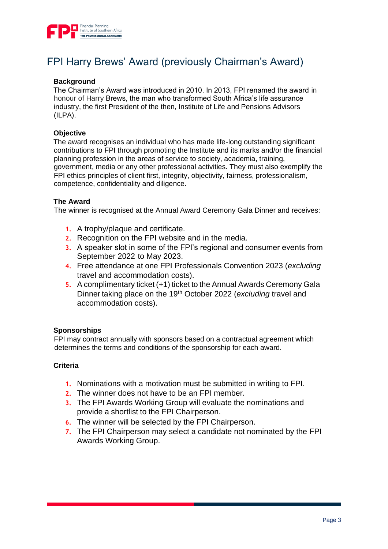

## FPI Harry Brews' Award (previously Chairman's Award)

#### <span id="page-2-0"></span>**Background**

The Chairman's Award was introduced in 2010. In 2013, FPI renamed the award in honour of Harry Brews, the man who transformed South Africa's life assurance industry, the first President of the then, Institute of Life and Pensions Advisors (ILPA).

#### <span id="page-2-1"></span>**Objective**

The award recognises an individual who has made life-long outstanding significant contributions to FPI through promoting the Institute and its marks and/or the financial planning profession in the areas of service to society, academia, training, government, media or any other professional activities. They must also exemplify the FPI ethics principles of client first, integrity, objectivity, fairness, professionalism, competence, confidentiality and diligence.

#### <span id="page-2-2"></span>**The Award**

The winner is recognised at the Annual Award Ceremony Gala Dinner and receives:

- **1.** A trophy/plaque and certificate.
- **2.** Recognition on the FPI website and in the media.
- **3.** A speaker slot in some of the FPI's regional and consumer events from September 2022 to May 2023.
- **4.** Free attendance at one FPI Professionals Convention 2023 (*excluding*  travel and accommodation costs).
- **5.** A complimentary ticket (+1) ticket to the Annual Awards Ceremony Gala Dinner taking place on the 19th October 2022 (*excluding* travel and accommodation costs).

#### <span id="page-2-3"></span>**Sponsorships**

FPI may contract annually with sponsors based on a contractual agreement which determines the terms and conditions of the sponsorship for each award.

#### <span id="page-2-4"></span>**Criteria**

- **1.** Nominations with a motivation must be submitted in writing to FPI.
- **2.** The winner does not have to be an FPI member.
- **3.** The FPI Awards Working Group will evaluate the nominations and provide a shortlist to the FPI Chairperson.
- **6.** The winner will be selected by the FPI Chairperson.
- **7.** The FPI Chairperson may select a candidate not nominated by the FPI Awards Working Group.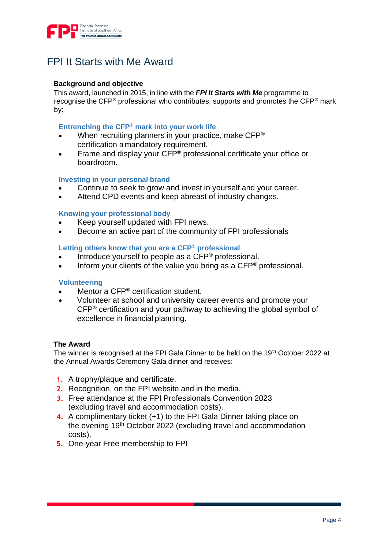

## FPI It Starts with Me Award

#### <span id="page-3-0"></span>**Background and objective**

This award, launched in 2015, in line with the *FPI It Starts with Me* programme to recognise the CFP® professional who contributes, supports and promotes the CFP® mark by:

#### **Entrenching the CFP® mark into your work life**

- When recruiting planners in your practice, make CFP® certification a mandatory requirement.
- Frame and display your CFP<sup>®</sup> professional certificate your office or boardroom.

#### **Investing in your personal brand**

- Continue to seek to grow and invest in yourself and your career.
- Attend CPD events and keep abreast of industry changes.

#### **Knowing your professional body**

- Keep yourself updated with FPI news.
- Become an active part of the community of FPI professionals

#### **Letting others know that you are a CFP® professional**

- Introduce yourself to people as a CFP® professional.
- Inform your clients of the value you bring as a  $\mathsf{CFP}^{\circledast}$  professional.

#### **Volunteering**

- Mentor a CFP<sup>®</sup> certification student.
- Volunteer at school and university career events and promote your CFP® certification and your pathway to achieving the global symbol of excellence in financial planning.

#### <span id="page-3-1"></span>**The Award**

The winner is recognised at the FPI Gala Dinner to be held on the 19<sup>th</sup> October 2022 at the Annual Awards Ceremony Gala dinner and receives:

- **1.** A trophy/plaque and certificate.
- **2.** Recognition, on the FPI website and in the media.
- **3.** Free attendance at the FPI Professionals Convention 2023 (excluding travel and accommodation costs).
- **4.** A complimentary ticket (+1) to the FPI Gala Dinner taking place on the evening 19th October 2022 (excluding travel and accommodation costs).
- **5.** One-year Free membership to FPI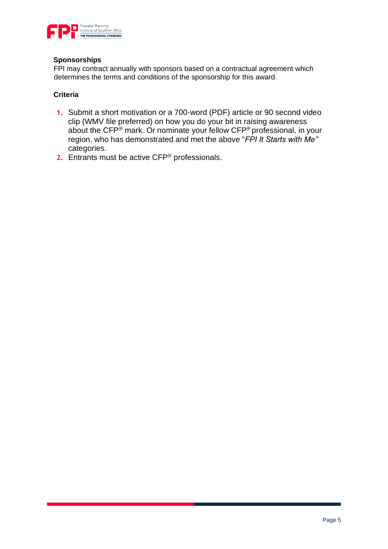

#### <span id="page-4-0"></span>**Sponsorships**

FPI may contract annually with sponsors based on a contractual agreement which determines the terms and conditions of the sponsorship for this award.

#### <span id="page-4-1"></span>**Criteria**

- **1.** Submit a short motivation or a 700-word (PDF) article or 90 second video clip (WMV file preferred) on how you do your bit in raising awareness about the CFP® mark. Or nominate your fellow CFP® professional, in your region, who has demonstrated and met the above "*FPI It Starts with Me"* categories.
- **2.** Entrants must be active CFP® professionals.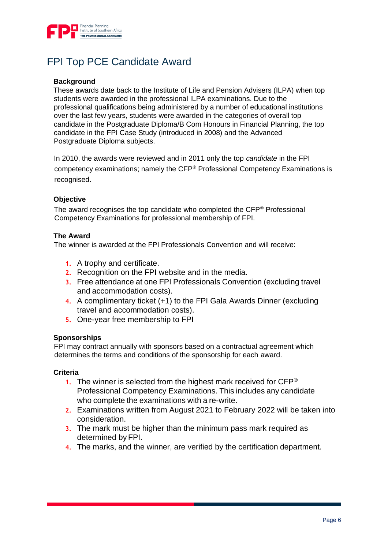

## FPI Top PCE Candidate Award

#### <span id="page-5-0"></span>**Background**

These awards date back to the Institute of Life and Pension Advisers (ILPA) when top students were awarded in the professional ILPA examinations. Due to the professional qualifications being administered by a number of educational institutions over the last few years, students were awarded in the categories of overall top candidate in the Postgraduate Diploma/B Com Honours in Financial Planning, the top candidate in the FPI Case Study (introduced in 2008) and the Advanced Postgraduate Diploma subjects.

In 2010, the awards were reviewed and in 2011 only the top *candidate* in the FPI competency examinations; namely the CFP® Professional Competency Examinations is recognised.

#### <span id="page-5-1"></span>**Objective**

The award recognises the top candidate who completed the CFP® Professional Competency Examinations for professional membership of FPI.

#### <span id="page-5-2"></span>**The Award**

The winner is awarded at the FPI Professionals Convention and will receive:

- **1.** A trophy and certificate.
- **2.** Recognition on the FPI website and in the media.
- **3.** Free attendance at one FPI Professionals Convention (excluding travel and accommodation costs).
- **4.** A complimentary ticket (+1) to the FPI Gala Awards Dinner (excluding travel and accommodation costs).
- **5.** One-year free membership to FPI

#### <span id="page-5-3"></span>**Sponsorships**

FPI may contract annually with sponsors based on a contractual agreement which determines the terms and conditions of the sponsorship for each award.

#### <span id="page-5-4"></span>**Criteria**

- **1.** The winner is selected from the highest mark received for CFP® Professional Competency Examinations. This includes any candidate who complete the examinations with a re-write.
- **2.** Examinations written from August 2021 to February 2022 will be taken into consideration.
- **3.** The mark must be higher than the minimum pass mark required as determined by FPI.
- **4.** The marks, and the winner, are verified by the certification department.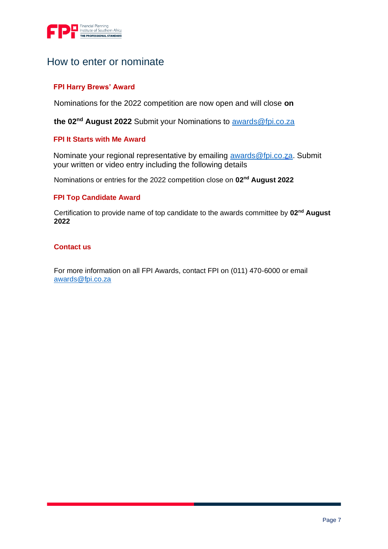

### How to enter or nominate

#### **FPI Harry Brews' Award**

Nominations for the 2022 competition are now open and will close **on** 

**the 02nd August 2022** Submit your Nominations to [awards@fpi.co.za](mailto:awards@fpi.co.za)

#### **FPI It Starts with Me Award**

Nominate your regional representative by emailing [awards@fpi.co.za.](mailto:awards@fpi.co.za) Submit your written or video entry including the following details

Nominations or entries for the 2022 competition close on **02nd August 2022**

#### **FPI Top Candidate Award**

Certification to provide name of top candidate to the awards committee by **02nd August 2022**

#### **Contact us**

For more information on all FPI Awards, contact FPI on (011) 470-6000 or email [awards@fpi.co.za](mailto:awards@fpi.co.za)